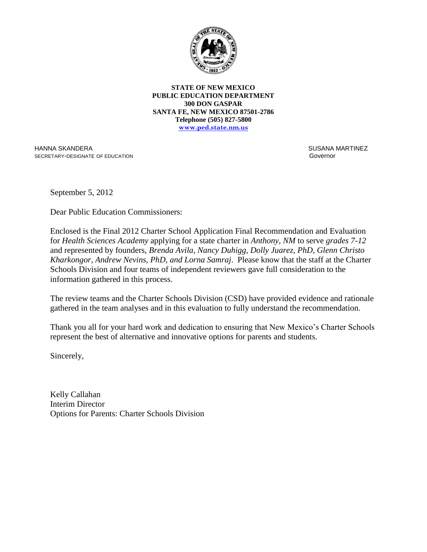

**STATE OF NEW MEXICO PUBLIC EDUCATION DEPARTMENT 300 DON GASPAR SANTA FE, NEW MEXICO 87501-2786 Telephone (505) 827-5800 www.ped.state.nm.us**

HANNA SKANDERA SECRETARY-DESIGNATE OF EDUCATION  SUSANA MARTINEZ Governor

September 5, 2012

Dear Public Education Commissioners:

Enclosed is the Final 2012 Charter School Application Final Recommendation and Evaluation for *Health Sciences Academy* applying for a state charter in *Anthony, NM* to serve *grades 7-12* and represented by founders, *Brenda Avila, Nancy Duhigg, Dolly Juarez, PhD, Glenn Christo Kharkongor, Andrew Nevins, PhD, and Lorna Samraj*. Please know that the staff at the Charter Schools Division and four teams of independent reviewers gave full consideration to the information gathered in this process.

The review teams and the Charter Schools Division (CSD) have provided evidence and rationale gathered in the team analyses and in this evaluation to fully understand the recommendation.

Thank you all for your hard work and dedication to ensuring that New Mexico's Charter Schools represent the best of alternative and innovative options for parents and students.

Sincerely,

Kelly Callahan Interim Director Options for Parents: Charter Schools Division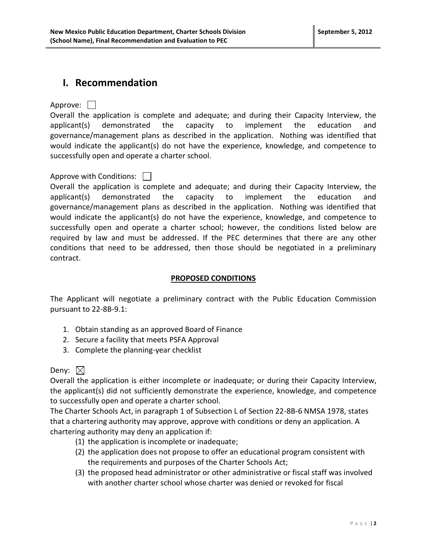## **I. Recommendation**

Approve: 1

Overall the application is complete and adequate; and during their Capacity Interview, the applicant(s) demonstrated the capacity to implement the education and governance/management plans as described in the application. Nothing was identified that would indicate the applicant(s) do not have the experience, knowledge, and competence to successfully open and operate a charter school.

## Approve with Conditions:

Overall the application is complete and adequate; and during their Capacity Interview, the applicant(s) demonstrated the capacity to implement the education and governance/management plans as described in the application. Nothing was identified that would indicate the applicant(s) do not have the experience, knowledge, and competence to successfully open and operate a charter school; however, the conditions listed below are required by law and must be addressed. If the PEC determines that there are any other conditions that need to be addressed, then those should be negotiated in a preliminary contract.

### **PROPOSED CONDITIONS**

The Applicant will negotiate a preliminary contract with the Public Education Commission pursuant to 22-8B-9.1:

- 1. Obtain standing as an approved Board of Finance
- 2. Secure a facility that meets PSFA Approval
- 3. Complete the planning-year checklist

### Deny:  $\boxtimes$

Overall the application is either incomplete or inadequate; or during their Capacity Interview, the applicant(s) did not sufficiently demonstrate the experience, knowledge, and competence to successfully open and operate a charter school.

The Charter Schools Act, in paragraph 1 of Subsection L of Section 22-8B-6 NMSA 1978, states that a chartering authority may approve, approve with conditions or deny an application. A chartering authority may deny an application if:

- (1) the application is incomplete or inadequate;
- (2) the application does not propose to offer an educational program consistent with the requirements and purposes of the Charter Schools Act;
- (3) the proposed head administrator or other administrative or fiscal staff was involved with another charter school whose charter was denied or revoked for fiscal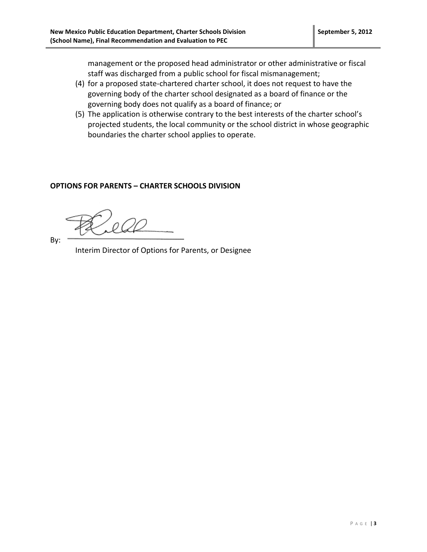management or the proposed head administrator or other administrative or fiscal staff was discharged from a public school for fiscal mismanagement;

- (4) for a proposed state-chartered charter school, it does not request to have the governing body of the charter school designated as a board of finance or the governing body does not qualify as a board of finance; or
- (5) The application is otherwise contrary to the best interests of the charter school's projected students, the local community or the school district in whose geographic boundaries the charter school applies to operate.

### **OPTIONS FOR PARENTS – CHARTER SCHOOLS DIVISION**

By:

Interim Director of Options for Parents, or Designee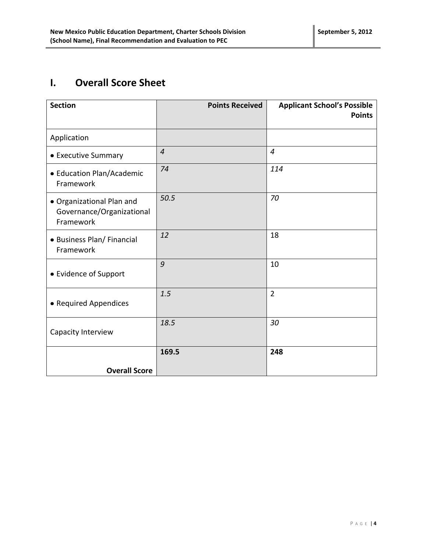# **I. Overall Score Sheet**

| <b>Section</b>                                                      | <b>Points Received</b> | <b>Applicant School's Possible</b><br><b>Points</b> |
|---------------------------------------------------------------------|------------------------|-----------------------------------------------------|
| Application                                                         |                        |                                                     |
| • Executive Summary                                                 | $\overline{4}$         | $\overline{4}$                                      |
| • Education Plan/Academic<br>Framework                              | 74                     | 114                                                 |
| • Organizational Plan and<br>Governance/Organizational<br>Framework | 50.5                   | 70                                                  |
| • Business Plan/ Financial<br>Framework                             | 12                     | 18                                                  |
| • Evidence of Support                                               | 9                      | 10                                                  |
| • Required Appendices                                               | 1.5                    | $\overline{2}$                                      |
| Capacity Interview                                                  | 18.5                   | 30                                                  |
| <b>Overall Score</b>                                                | 169.5                  | 248                                                 |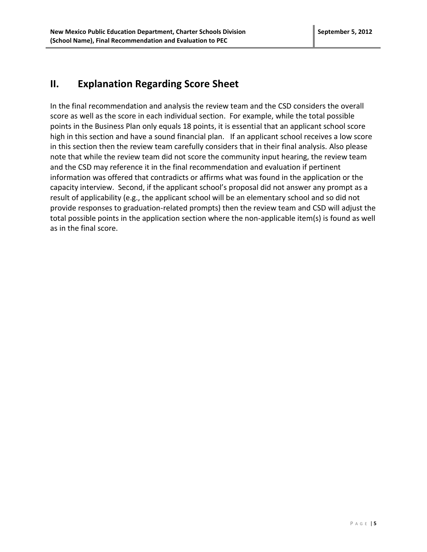## **II. Explanation Regarding Score Sheet**

In the final recommendation and analysis the review team and the CSD considers the overall score as well as the score in each individual section. For example, while the total possible points in the Business Plan only equals 18 points, it is essential that an applicant school score high in this section and have a sound financial plan. If an applicant school receives a low score in this section then the review team carefully considers that in their final analysis. Also please note that while the review team did not score the community input hearing, the review team and the CSD may reference it in the final recommendation and evaluation if pertinent information was offered that contradicts or affirms what was found in the application or the capacity interview. Second, if the applicant school's proposal did not answer any prompt as a result of applicability (e.g., the applicant school will be an elementary school and so did not provide responses to graduation-related prompts) then the review team and CSD will adjust the total possible points in the application section where the non-applicable item(s) is found as well as in the final score.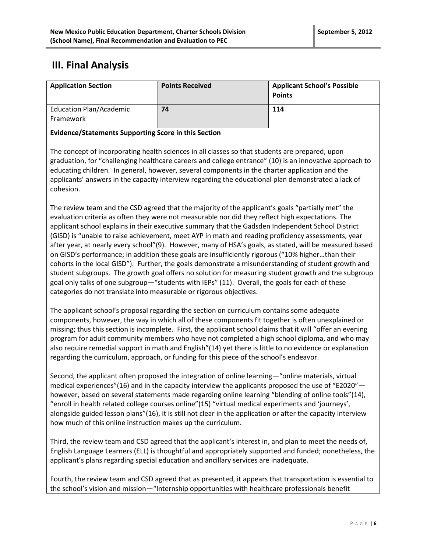## **III. Final Analysis**

| <b>Application Section</b>                  | <b>Points Received</b> | <b>Applicant School's Possible</b><br><b>Points</b> |
|---------------------------------------------|------------------------|-----------------------------------------------------|
| <b>Education Plan/Academic</b><br>Framework | 74                     | 114                                                 |

#### **Evidence/Statements Supporting Score in this Section**

The concept of incorporating health sciences in all classes so that students are prepared, upon graduation, for "challenging healthcare careers and college entrance" (10) is an innovative approach to educating children. In general, however, several components in the charter application and the applicants' answers in the capacity interview regarding the educational plan demonstrated a lack of cohesion.

The review team and the CSD agreed that the majority of the applicant's goals "partially met" the evaluation criteria as often they were not measurable nor did they reflect high expectations. The applicant school explains in their executive summary that the Gadsden Independent School District (GISD) is "unable to raise achievement, meet AYP in math and reading proficiency assessments, year after year, at nearly every school"(9). However, many of HSA's goals, as stated, will be measured based on GISD's performance; in addition these goals are insufficiently rigorous ("10% higher…than their cohorts in the local GISD"). Further, the goals demonstrate a misunderstanding of student growth and student subgroups. The growth goal offers no solution for measuring student growth and the subgroup goal only talks of one subgroup—"students with IEPs" (11). Overall, the goals for each of these categories do not translate into measurable or rigorous objectives.

The applicant school's proposal regarding the section on curriculum contains some adequate components, however, the way in which all of these components fit together is often unexplained or missing; thus this section is incomplete. First, the applicant school claims that it will "offer an evening program for adult community members who have not completed a high school diploma, and who may also require remedial support in math and English"(14) yet there is little to no evidence or explanation regarding the curriculum, approach, or funding for this piece of the school's endeavor.

Second, the applicant often proposed the integration of online learning—"online materials, virtual medical experiences"(16) and in the capacity interview the applicants proposed the use of "E2020" however, based on several statements made regarding online learning "blending of online tools"(14), "enroll in health related college courses online"(15) "virtual medical experiments and 'journeys', alongside guided lesson plans"(16), it is still not clear in the application or after the capacity interview how much of this online instruction makes up the curriculum.

Third, the review team and CSD agreed that the applicant's interest in, and plan to meet the needs of, English Language Learners (ELL) is thoughtful and appropriately supported and funded; nonetheless, the applicant's plans regarding special education and ancillary services are inadequate.

Fourth, the review team and CSD agreed that as presented, it appears that transportation is essential to the school's vision and mission—"Internship opportunities with healthcare professionals benefit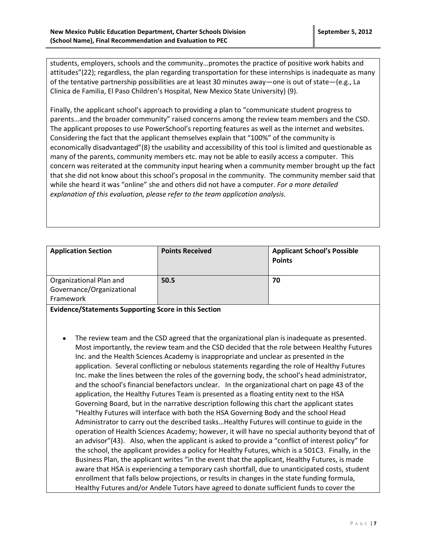students, employers, schools and the community…promotes the practice of positive work habits and attitudes"(22); regardless, the plan regarding transportation for these internships is inadequate as many of the tentative partnership possibilities are at least 30 minutes away—one is out of state—(e.g., La Clinica de Familia, El Paso Children's Hospital, New Mexico State University) (9).

Finally, the applicant school's approach to providing a plan to "communicate student progress to parents…and the broader community" raised concerns among the review team members and the CSD. The applicant proposes to use PowerSchool's reporting features as well as the internet and websites. Considering the fact that the applicant themselves explain that "100%" of the community is economically disadvantaged"(8) the usability and accessibility of this tool is limited and questionable as many of the parents, community members etc. may not be able to easily access a computer. This concern was reiterated at the community input hearing when a community member brought up the fact that she did not know about this school's proposal in the community. The community member said that while she heard it was "online" she and others did not have a computer. *For a more detailed explanation of this evaluation, please refer to the team application analysis.*

| <b>Application Section</b>                                        | <b>Points Received</b> | <b>Applicant School's Possible</b><br><b>Points</b> |
|-------------------------------------------------------------------|------------------------|-----------------------------------------------------|
| Organizational Plan and<br>Governance/Organizational<br>Framework | 50.5                   | 70                                                  |

**Evidence/Statements Supporting Score in this Section**

The review team and the CSD agreed that the organizational plan is inadequate as presented. Most importantly, the review team and the CSD decided that the role between Healthy Futures Inc. and the Health Sciences Academy is inappropriate and unclear as presented in the application. Several conflicting or nebulous statements regarding the role of Healthy Futures Inc. make the lines between the roles of the governing body, the school's head administrator, and the school's financial benefactors unclear. In the organizational chart on page 43 of the application, the Healthy Futures Team is presented as a floating entity next to the HSA Governing Board, but in the narrative description following this chart the applicant states "Healthy Futures will interface with both the HSA Governing Body and the school Head Administrator to carry out the described tasks…Healthy Futures will continue to guide in the operation of Health Sciences Academy; however, it will have no special authority beyond that of an advisor"(43). Also, when the applicant is asked to provide a "conflict of interest policy" for the school, the applicant provides a policy for Healthy Futures, which is a 501C3. Finally, in the Business Plan, the applicant writes "in the event that the applicant, Healthy Futures, is made aware that HSA is experiencing a temporary cash shortfall, due to unanticipated costs, student enrollment that falls below projections, or results in changes in the state funding formula, Healthy Futures and/or Andele Tutors have agreed to donate sufficient funds to cover the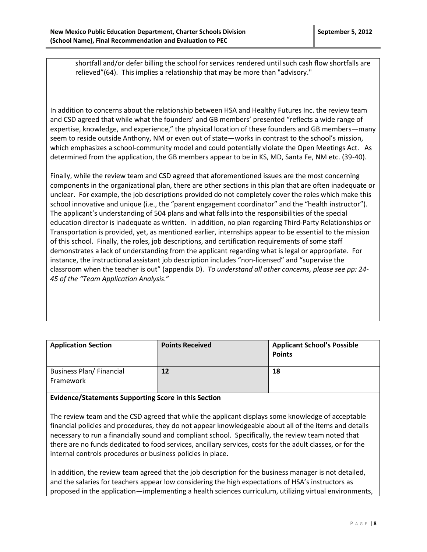shortfall and/or defer billing the school for services rendered until such cash flow shortfalls are relieved"(64). This implies a relationship that may be more than "advisory."

In addition to concerns about the relationship between HSA and Healthy Futures Inc. the review team and CSD agreed that while what the founders' and GB members' presented "reflects a wide range of expertise, knowledge, and experience," the physical location of these founders and GB members—many seem to reside outside Anthony, NM or even out of state—works in contrast to the school's mission, which emphasizes a school-community model and could potentially violate the Open Meetings Act. As determined from the application, the GB members appear to be in KS, MD, Santa Fe, NM etc. (39-40).

Finally, while the review team and CSD agreed that aforementioned issues are the most concerning components in the organizational plan, there are other sections in this plan that are often inadequate or unclear. For example, the job descriptions provided do not completely cover the roles which make this school innovative and unique (i.e., the "parent engagement coordinator" and the "health instructor"). The applicant's understanding of 504 plans and what falls into the responsibilities of the special education director is inadequate as written. In addition, no plan regarding Third-Party Relationships or Transportation is provided, yet, as mentioned earlier, internships appear to be essential to the mission of this school. Finally, the roles, job descriptions, and certification requirements of some staff demonstrates a lack of understanding from the applicant regarding what is legal or appropriate. For instance, the instructional assistant job description includes "non-licensed" and "supervise the classroom when the teacher is out" (appendix D). *To understand all other concerns, please see pp: 24- 45 of the "Team Application Analysis.*"

| <b>Application Section</b>                  | <b>Points Received</b> | <b>Applicant School's Possible</b><br><b>Points</b> |
|---------------------------------------------|------------------------|-----------------------------------------------------|
| <b>Business Plan/Financial</b><br>Framework | 12                     | 18                                                  |

#### **Evidence/Statements Supporting Score in this Section**

The review team and the CSD agreed that while the applicant displays some knowledge of acceptable financial policies and procedures, they do not appear knowledgeable about all of the items and details necessary to run a financially sound and compliant school. Specifically, the review team noted that there are no funds dedicated to food services, ancillary services, costs for the adult classes, or for the internal controls procedures or business policies in place.

In addition, the review team agreed that the job description for the business manager is not detailed, and the salaries for teachers appear low considering the high expectations of HSA's instructors as proposed in the application—implementing a health sciences curriculum, utilizing virtual environments,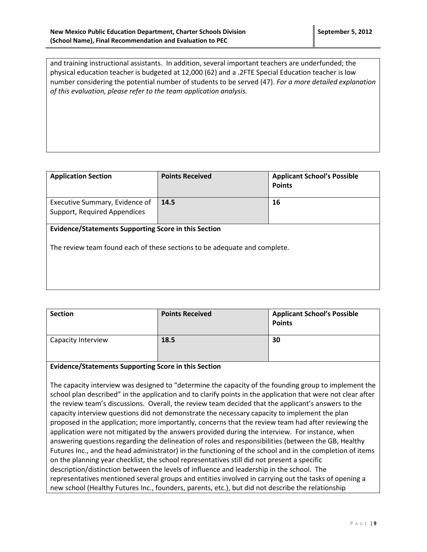and training instructional assistants. In addition, several important teachers are underfunded; the physical education teacher is budgeted at 12,000 (62) and a .2FTE Special Education teacher is low number considering the potential number of students to be served (47). *For a more detailed explanation of this evaluation, please refer to the team application analysis.*

| <b>Application Section</b>                                                                                                               | <b>Points Received</b> | <b>Applicant School's Possible</b><br><b>Points</b> |
|------------------------------------------------------------------------------------------------------------------------------------------|------------------------|-----------------------------------------------------|
| Executive Summary, Evidence of<br>Support, Required Appendices                                                                           | 14.5                   | 16                                                  |
| <b>Evidence/Statements Supporting Score in this Section</b><br>The review team found each of these sections to be adequate and complete. |                        |                                                     |

| <b>Section</b>     | <b>Points Received</b> | <b>Applicant School's Possible</b><br><b>Points</b> |
|--------------------|------------------------|-----------------------------------------------------|
| Capacity Interview | 18.5                   | 30                                                  |

#### **Evidence/Statements Supporting Score in this Section**

The capacity interview was designed to "determine the capacity of the founding group to implement the school plan described" in the application and to clarify points in the application that were not clear after the review team's discussions. Overall, the review team decided that the applicant's answers to the capacity interview questions did not demonstrate the necessary capacity to implement the plan proposed in the application; more importantly, concerns that the review team had after reviewing the application were not mitigated by the answers provided during the interview. For instance, when answering questions regarding the delineation of roles and responsibilities (between the GB, Healthy Futures Inc., and the head administrator) in the functioning of the school and in the completion of items on the planning year checklist, the school representatives still did not present a specific description/distinction between the levels of influence and leadership in the school. The representatives mentioned several groups and entities involved in carrying out the tasks of opening a new school (Healthy Futures Inc., founders, parents, etc.), but did not describe the relationship